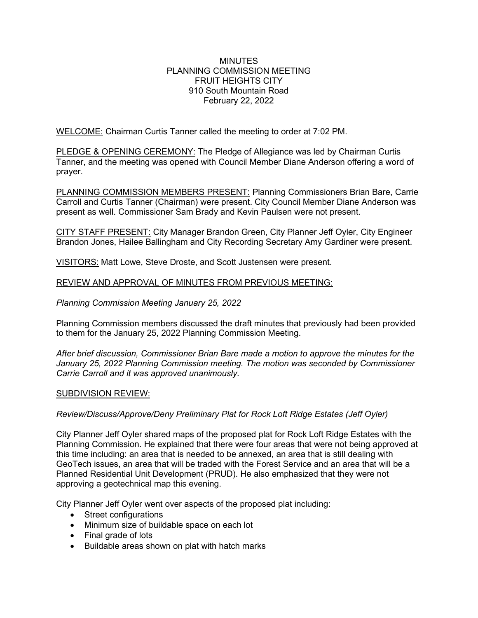## **MINUTES** PLANNING COMMISSION MEETING FRUIT HEIGHTS CITY 910 South Mountain Road February 22, 2022

WELCOME: Chairman Curtis Tanner called the meeting to order at 7:02 PM.

PLEDGE & OPENING CEREMONY: The Pledge of Allegiance was led by Chairman Curtis Tanner, and the meeting was opened with Council Member Diane Anderson offering a word of prayer.

PLANNING COMMISSION MEMBERS PRESENT: Planning Commissioners Brian Bare, Carrie Carroll and Curtis Tanner (Chairman) were present. City Council Member Diane Anderson was present as well. Commissioner Sam Brady and Kevin Paulsen were not present.

CITY STAFF PRESENT: City Manager Brandon Green, City Planner Jeff Oyler, City Engineer Brandon Jones, Hailee Ballingham and City Recording Secretary Amy Gardiner were present.

VISITORS: Matt Lowe, Steve Droste, and Scott Justensen were present.

# REVIEW AND APPROVAL OF MINUTES FROM PREVIOUS MEETING:

# *Planning Commission Meeting January 25, 2022*

Planning Commission members discussed the draft minutes that previously had been provided to them for the January 25, 2022 Planning Commission Meeting.

*After brief discussion, Commissioner Brian Bare made a motion to approve the minutes for the January 25, 2022 Planning Commission meeting. The motion was seconded by Commissioner Carrie Carroll and it was approved unanimously.*

## SUBDIVISION REVIEW:

## *Review/Discuss/Approve/Deny Preliminary Plat for Rock Loft Ridge Estates (Jeff Oyler)*

City Planner Jeff Oyler shared maps of the proposed plat for Rock Loft Ridge Estates with the Planning Commission. He explained that there were four areas that were not being approved at this time including: an area that is needed to be annexed, an area that is still dealing with GeoTech issues, an area that will be traded with the Forest Service and an area that will be a Planned Residential Unit Development (PRUD). He also emphasized that they were not approving a geotechnical map this evening.

City Planner Jeff Oyler went over aspects of the proposed plat including:

- Street configurations
- Minimum size of buildable space on each lot
- Final grade of lots
- Buildable areas shown on plat with hatch marks